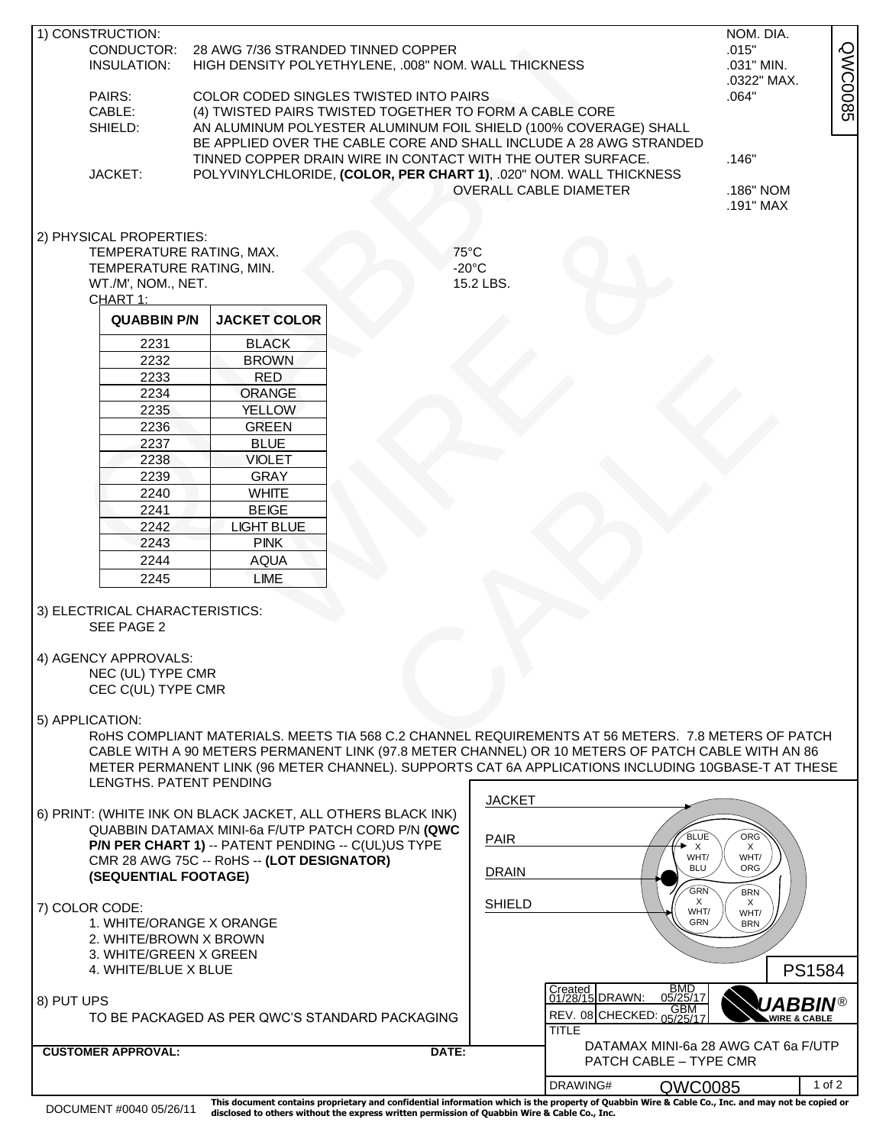| 1) CONSTRUCTION:                                                                                                                                 |                                                             |                                                                    | NOM. DIA.<br>.015"     |         |
|--------------------------------------------------------------------------------------------------------------------------------------------------|-------------------------------------------------------------|--------------------------------------------------------------------|------------------------|---------|
| CONDUCTOR:<br>28 AWG 7/36 STRANDED TINNED COPPER                                                                                                 |                                                             |                                                                    |                        |         |
| HIGH DENSITY POLYETHYLENE, .008" NOM. WALL THICKNESS<br>INSULATION:                                                                              |                                                             |                                                                    |                        | S8000MC |
|                                                                                                                                                  | COLOR CODED SINGLES TWISTED INTO PAIRS                      | .0322" MAX.                                                        |                        |         |
| PAIRS:                                                                                                                                           | .064"                                                       |                                                                    |                        |         |
| CABLE:<br>(4) TWISTED PAIRS TWISTED TOGETHER TO FORM A CABLE CORE<br>SHIELD:<br>AN ALUMINUM POLYESTER ALUMINUM FOIL SHIELD (100% COVERAGE) SHALL |                                                             |                                                                    |                        |         |
|                                                                                                                                                  |                                                             | BE APPLIED OVER THE CABLE CORE AND SHALL INCLUDE A 28 AWG STRANDED |                        |         |
|                                                                                                                                                  | TINNED COPPER DRAIN WIRE IN CONTACT WITH THE OUTER SURFACE. | .146"                                                              |                        |         |
| JACKET:                                                                                                                                          |                                                             |                                                                    |                        |         |
| POLYVINYLCHLORIDE, (COLOR, PER CHART 1), .020" NOM. WALL THICKNESS<br><b>OVERALL CABLE DIAMETER</b>                                              |                                                             |                                                                    |                        |         |
|                                                                                                                                                  |                                                             |                                                                    | .186" NOM<br>.191" MAX |         |
|                                                                                                                                                  |                                                             |                                                                    |                        |         |
| 2) PHYSICAL PROPERTIES:                                                                                                                          |                                                             |                                                                    |                        |         |
| TEMPERATURE RATING, MAX.                                                                                                                         |                                                             | $75^{\circ}$ C                                                     |                        |         |
| $-20^{\circ}$ C<br>TEMPERATURE RATING, MIN.                                                                                                      |                                                             |                                                                    |                        |         |
| WT./M', NOM., NET.                                                                                                                               |                                                             | 15.2 LBS.                                                          |                        |         |
| CHART 1:                                                                                                                                         |                                                             |                                                                    |                        |         |
| <b>QUABBIN P/N</b>                                                                                                                               | <b>JACKET COLOR</b>                                         |                                                                    |                        |         |
| 2231                                                                                                                                             | <b>BLACK</b>                                                |                                                                    |                        |         |
| 2232                                                                                                                                             | <b>BROWN</b>                                                |                                                                    |                        |         |
| 2233                                                                                                                                             | <b>RED</b>                                                  |                                                                    |                        |         |
| 2234                                                                                                                                             | <b>ORANGE</b>                                               |                                                                    |                        |         |
| 2235                                                                                                                                             | <b>YELLOW</b>                                               |                                                                    |                        |         |
| 2236                                                                                                                                             | <b>GREEN</b>                                                |                                                                    |                        |         |
| 2237                                                                                                                                             | <b>BLUE</b>                                                 |                                                                    |                        |         |
| 2238                                                                                                                                             | <b>VIOLET</b>                                               |                                                                    |                        |         |
| 2239                                                                                                                                             | <b>GRAY</b>                                                 |                                                                    |                        |         |
| 2240                                                                                                                                             | <b>WHITE</b>                                                |                                                                    |                        |         |
| 2241                                                                                                                                             | <b>BEIGE</b>                                                |                                                                    |                        |         |
| 2242                                                                                                                                             | <b>LIGHT BLUE</b>                                           |                                                                    |                        |         |
| 2243                                                                                                                                             | <b>PINK</b>                                                 |                                                                    |                        |         |
| 2244                                                                                                                                             | <b>AQUA</b>                                                 |                                                                    |                        |         |
| 2245                                                                                                                                             | <b>LIME</b>                                                 |                                                                    |                        |         |
|                                                                                                                                                  |                                                             |                                                                    |                        |         |
| 3) ELECTRICAL CHARACTERISTICS:                                                                                                                   |                                                             |                                                                    |                        |         |
| SEE PAGE 2                                                                                                                                       |                                                             |                                                                    |                        |         |
|                                                                                                                                                  |                                                             |                                                                    |                        |         |

| <b>QUABBIN P/N</b> | <b>JACKET COLOR</b> |
|--------------------|---------------------|
| 2231               | <b>BLACK</b>        |
| 2232               | <b>BROWN</b>        |
| 2233               | RFD                 |
| 2234               | <b>ORANGE</b>       |
| 2235               | <b>YELLOW</b>       |
| 2236               | <b>GREEN</b>        |
| 2237               | BLUE                |
| 2238               | <b>VIOLET</b>       |
| 2239               | GRAY                |
| 2240               | <b>WHITE</b>        |
| 2241               | <b>BEIGE</b>        |
| 2242               | LIGHT BLUE          |
| 2243               | <b>PINK</b>         |
| 2244               | AQUA                |
| 2245               | LIME                |

NEC (UL) TYPE CMR CEC C(UL) TYPE CMR

5) APPLICATION:

SC. 2 CHANNEL REQUIREMENTS AT 56 METERS. 7.8 METERS OF RoHS COMPLIANT MATERIALS. MEETS TIA 568 C.2 CHANNEL REQUIREMENTS AT 56 METERS. 7.8 METERS OF PATCH CABLE WITH A 90 METERS PERMANENT LINK (97.8 METER CHANNEL) OR 10 METERS OF PATCH CABLE WITH AN 86 METER PERMANENT LINK (96 METER CHANNEL). SUPPORTS CAT 6A APPLICATIONS INCLUDING 10GBASE-T AT THESE LENGTHS. PATENT PENDING

6) PRINT: (WHITE INK ON BLACK JACKET, ALL OTHERS BLACK INK) QUABBIN DATAMAX MINI-6a F/UTP PATCH CORD P/N **(QWC P/N PER CHART 1)** -- PATENT PENDING -- C(UL)US TYPE CMR 28 AWG 75C -- RoHS -- **(LOT DESIGNATOR) (SEQUENTIAL FOOTAGE)**

7) COLOR CODE:

- 1. WHITE/ORANGE X ORANGE
- 2. WHITE/BROWN X BROWN 3. WHITE/GREEN X GREEN
- 4. WHITE/BLUE X BLUE

8) PUT UPS

TO BE PACKAGED AS PER QWC'S STANDARD PACKAGING

**CUSTOMER APPROVAL: DATE:**

PS1584 DATAMAX MINI-6a 28 AWG CAT 6a F/UTP PATCH CABLE – TYPE CMR **TITLE** DRAWING# **QWC0085** 1 of 2 01/28/15 DRAWN: 05/25/17<br>REV. 08 CHECKED: 05/25/17 DRAWN: BMD 05/25/17 Created<br>01/28/15 'ABBIN® **BLUE** X WHT/ BLU ORG X WHT/ ORG BRN X WHT/ GRN<br>X<br>WHT/ X<br>GRN BRN X WHT/ GRN **JACKET** PAIR DRAIN SHIELD

<sup>4)</sup> AGENCY APPROVALS: